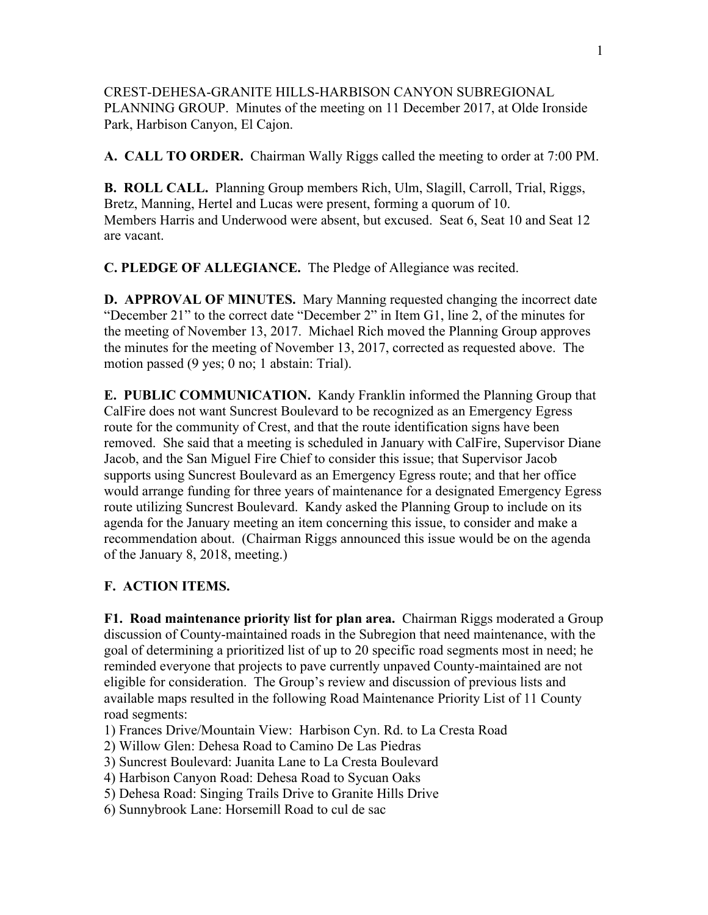CREST-DEHESA-GRANITE HILLS-HARBISON CANYON SUBREGIONAL PLANNING GROUP. Minutes of the meeting on 11 December 2017, at Olde Ironside Park, Harbison Canyon, El Cajon.

**A. CALL TO ORDER.** Chairman Wally Riggs called the meeting to order at 7:00 PM.

**B. ROLL CALL.** Planning Group members Rich, Ulm, Slagill, Carroll, Trial, Riggs, Bretz, Manning, Hertel and Lucas were present, forming a quorum of 10. Members Harris and Underwood were absent, but excused. Seat 6, Seat 10 and Seat 12 are vacant.

**C. PLEDGE OF ALLEGIANCE.** The Pledge of Allegiance was recited.

**D. APPROVAL OF MINUTES.** Mary Manning requested changing the incorrect date "December 21" to the correct date "December 2" in Item G1, line 2, of the minutes for the meeting of November 13, 2017. Michael Rich moved the Planning Group approves the minutes for the meeting of November 13, 2017, corrected as requested above. The motion passed (9 yes; 0 no; 1 abstain: Trial).

**E. PUBLIC COMMUNICATION.** Kandy Franklin informed the Planning Group that CalFire does not want Suncrest Boulevard to be recognized as an Emergency Egress route for the community of Crest, and that the route identification signs have been removed. She said that a meeting is scheduled in January with CalFire, Supervisor Diane Jacob, and the San Miguel Fire Chief to consider this issue; that Supervisor Jacob supports using Suncrest Boulevard as an Emergency Egress route; and that her office would arrange funding for three years of maintenance for a designated Emergency Egress route utilizing Suncrest Boulevard. Kandy asked the Planning Group to include on its agenda for the January meeting an item concerning this issue, to consider and make a recommendation about. (Chairman Riggs announced this issue would be on the agenda of the January 8, 2018, meeting.)

## **F. ACTION ITEMS.**

**F1. Road maintenance priority list for plan area.** Chairman Riggs moderated a Group discussion of County-maintained roads in the Subregion that need maintenance, with the goal of determining a prioritized list of up to 20 specific road segments most in need; he reminded everyone that projects to pave currently unpaved County-maintained are not eligible for consideration. The Group's review and discussion of previous lists and available maps resulted in the following Road Maintenance Priority List of 11 County road segments:

- 1) Frances Drive/Mountain View: Harbison Cyn. Rd. to La Cresta Road
- 2) Willow Glen: Dehesa Road to Camino De Las Piedras
- 3) Suncrest Boulevard: Juanita Lane to La Cresta Boulevard
- 4) Harbison Canyon Road: Dehesa Road to Sycuan Oaks
- 5) Dehesa Road: Singing Trails Drive to Granite Hills Drive
- 6) Sunnybrook Lane: Horsemill Road to cul de sac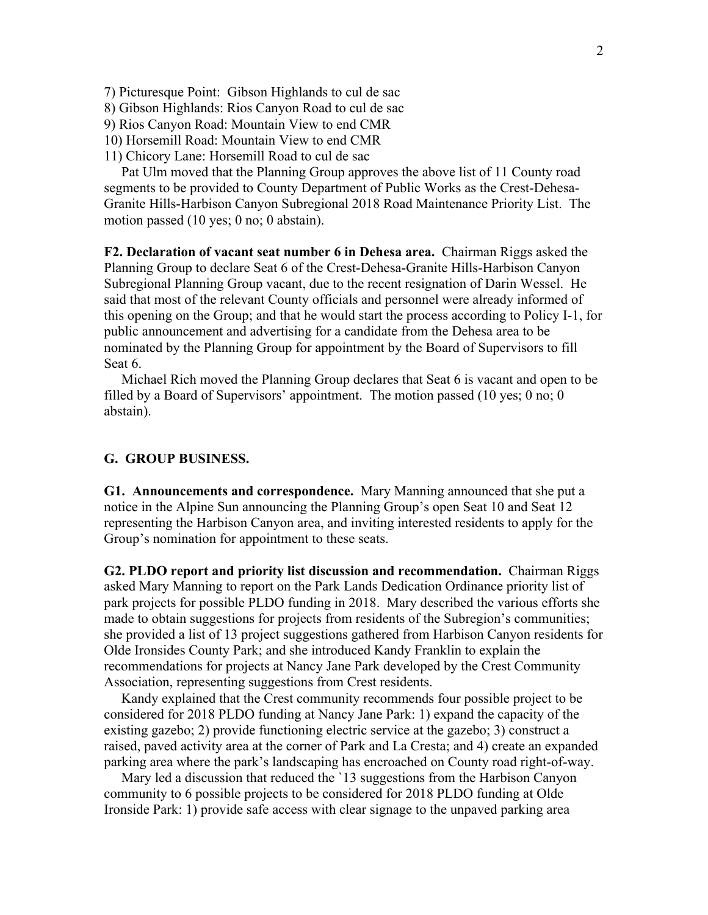7) Picturesque Point: Gibson Highlands to cul de sac

8) Gibson Highlands: Rios Canyon Road to cul de sac

9) Rios Canyon Road: Mountain View to end CMR

10) Horsemill Road: Mountain View to end CMR

11) Chicory Lane: Horsemill Road to cul de sac

 Pat Ulm moved that the Planning Group approves the above list of 11 County road segments to be provided to County Department of Public Works as the Crest-Dehesa-Granite Hills-Harbison Canyon Subregional 2018 Road Maintenance Priority List. The motion passed (10 yes; 0 no; 0 abstain).

**F2. Declaration of vacant seat number 6 in Dehesa area.** Chairman Riggs asked the Planning Group to declare Seat 6 of the Crest-Dehesa-Granite Hills-Harbison Canyon Subregional Planning Group vacant, due to the recent resignation of Darin Wessel. He said that most of the relevant County officials and personnel were already informed of this opening on the Group; and that he would start the process according to Policy I-1, for public announcement and advertising for a candidate from the Dehesa area to be nominated by the Planning Group for appointment by the Board of Supervisors to fill Seat 6.

 Michael Rich moved the Planning Group declares that Seat 6 is vacant and open to be filled by a Board of Supervisors' appointment. The motion passed (10 yes; 0 no; 0 abstain).

## **G. GROUP BUSINESS.**

**G1. Announcements and correspondence.** Mary Manning announced that she put a notice in the Alpine Sun announcing the Planning Group's open Seat 10 and Seat 12 representing the Harbison Canyon area, and inviting interested residents to apply for the Group's nomination for appointment to these seats.

**G2. PLDO report and priority list discussion and recommendation.** Chairman Riggs asked Mary Manning to report on the Park Lands Dedication Ordinance priority list of park projects for possible PLDO funding in 2018. Mary described the various efforts she made to obtain suggestions for projects from residents of the Subregion's communities; she provided a list of 13 project suggestions gathered from Harbison Canyon residents for Olde Ironsides County Park; and she introduced Kandy Franklin to explain the recommendations for projects at Nancy Jane Park developed by the Crest Community Association, representing suggestions from Crest residents.

 Kandy explained that the Crest community recommends four possible project to be considered for 2018 PLDO funding at Nancy Jane Park: 1) expand the capacity of the existing gazebo; 2) provide functioning electric service at the gazebo; 3) construct a raised, paved activity area at the corner of Park and La Cresta; and 4) create an expanded parking area where the park's landscaping has encroached on County road right-of-way.

 Mary led a discussion that reduced the `13 suggestions from the Harbison Canyon community to 6 possible projects to be considered for 2018 PLDO funding at Olde Ironside Park: 1) provide safe access with clear signage to the unpaved parking area